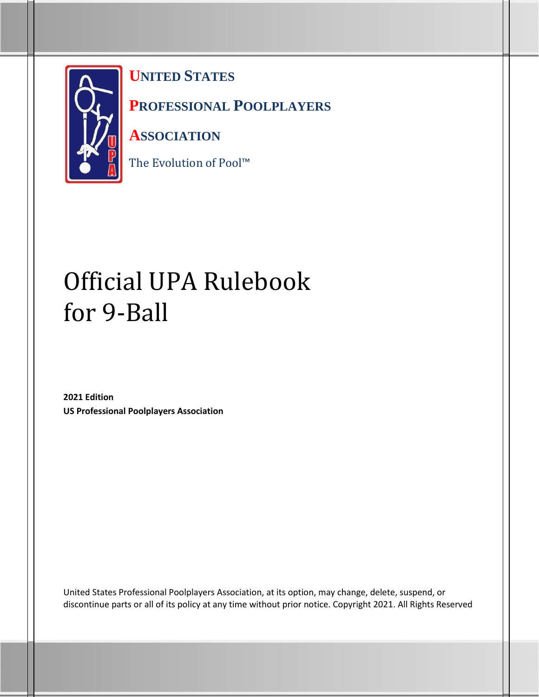

**UNITED STATES** 

**PROFESSIONAL POOLPLAYERS** 

**ASSOCIATION**

The Evolution of Pool™

# Official UPA Rulebook for 9-Ball

**2021 Edition US Professional Poolplayers Association**

United States Professional Poolplayers Association, at its option, may change, delete, suspend, or discontinue parts or all of its policy at any time without prior notice. Copyright 2021. All Rights Reserved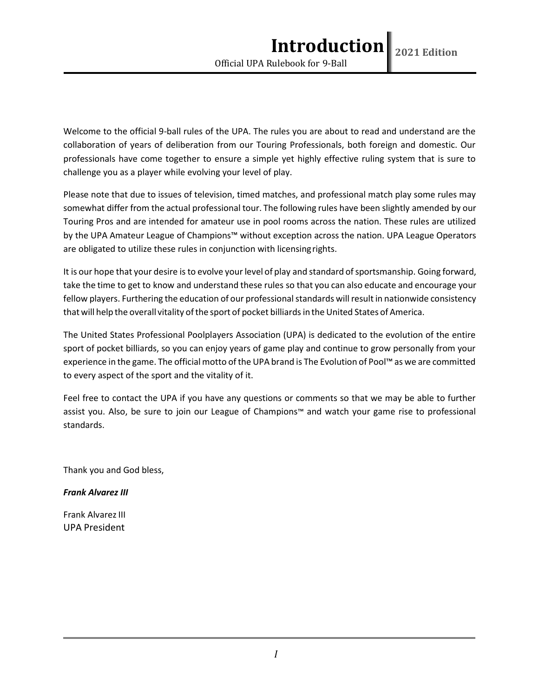Welcome to the official 9-ball rules of the UPA. The rules you are about to read and understand are the collaboration of years of deliberation from our Touring Professionals, both foreign and domestic. Our professionals have come together to ensure a simple yet highly effective ruling system that is sure to challenge you as a player while evolving your level of play.

Please note that due to issues of television, timed matches, and professional match play some rules may somewhat differ from the actual professional tour. The following rules have been slightly amended by our Touring Pros and are intended for amateur use in pool rooms across the nation. These rules are utilized by the UPA Amateur League of Champions™ without exception across the nation. UPA League Operators are obligated to utilize these rules in conjunction with licensingrights.

It is our hope that your desire is to evolve your level of play and standard of sportsmanship. Going forward, take the time to get to know and understand these rules so that you can also educate and encourage your fellow players. Furthering the education of our professional standards will result in nationwide consistency that will help the overall vitality of the sport of pocket billiards in the United States of America.

The United States Professional Poolplayers Association (UPA) is dedicated to the evolution of the entire sport of pocket billiards, so you can enjoy years of game play and continue to grow personally from your experience in the game. The official motto of the UPA brand is The Evolution of Pool™ as we are committed to every aspect of the sport and the vitality of it.

Feel free to contact the UPA if you have any questions or comments so that we may be able to further assist you. Also, be sure to join our League of Champions™ and watch your game rise to professional standards.

Thank you and God bless,

*Frank Alvarez III*

Frank Alvarez III UPA President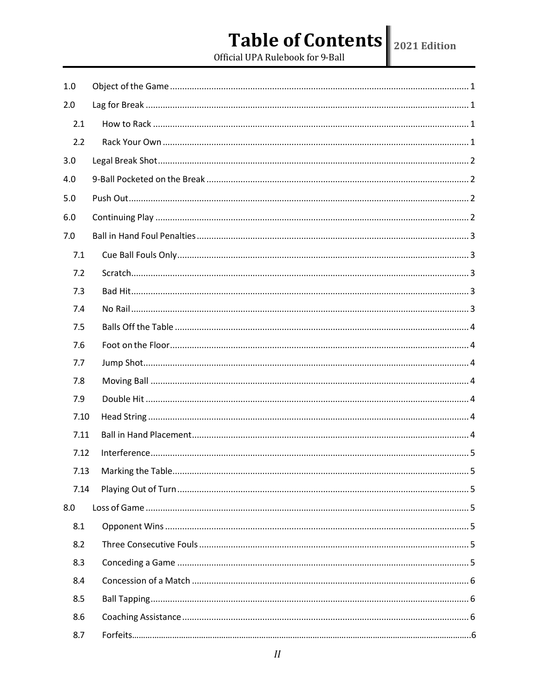# Table of Contents 2021 Edition

Official UPA Rulebook for 9-Ball

| 1.0  |                         |
|------|-------------------------|
| 2.0  |                         |
| 2.1  |                         |
| 2.2  |                         |
| 3.0  |                         |
| 4.0  |                         |
| 5.0  |                         |
| 6.0  |                         |
| 7.0  |                         |
| 7.1  |                         |
| 7.2  |                         |
| 7.3  |                         |
| 7.4  |                         |
| 7.5  |                         |
| 7.6  |                         |
| 7.7  |                         |
| 7.8  |                         |
| 7.9  |                         |
| 7.10 |                         |
| 7.11 |                         |
| 7.12 |                         |
| 7.13 | Marking the Table<br>5. |
| 7.14 |                         |
| 8.0  |                         |
| 8.1  |                         |
| 8.2  |                         |
| 8.3  |                         |
| 8.4  |                         |
| 8.5  |                         |
| 8.6  |                         |
| 8.7  |                         |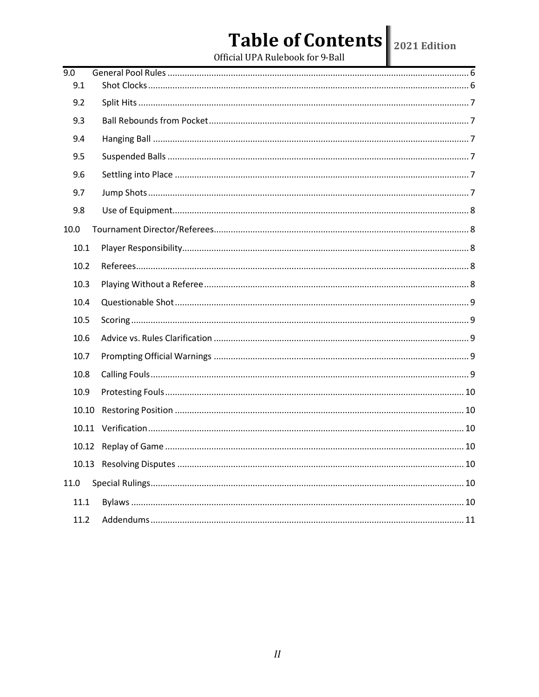# $\textbf{Table of Contents} \textcolor{red}{\left\| \textcolor{red}{\textbf{2021 Edition}}}$  <br> Official UPA Rulebook for 9-Ball

| 9.0   |  |  |
|-------|--|--|
| 9.1   |  |  |
| 9.2   |  |  |
| 9.3   |  |  |
| 9.4   |  |  |
| 9.5   |  |  |
| 9.6   |  |  |
| 9.7   |  |  |
| 9.8   |  |  |
| 10.0  |  |  |
| 10.1  |  |  |
| 10.2  |  |  |
| 10.3  |  |  |
| 10.4  |  |  |
| 10.5  |  |  |
| 10.6  |  |  |
| 10.7  |  |  |
| 10.8  |  |  |
| 10.9  |  |  |
| 10.10 |  |  |
|       |  |  |
|       |  |  |
|       |  |  |
| 11.0  |  |  |
| 11.1  |  |  |
| 11.2  |  |  |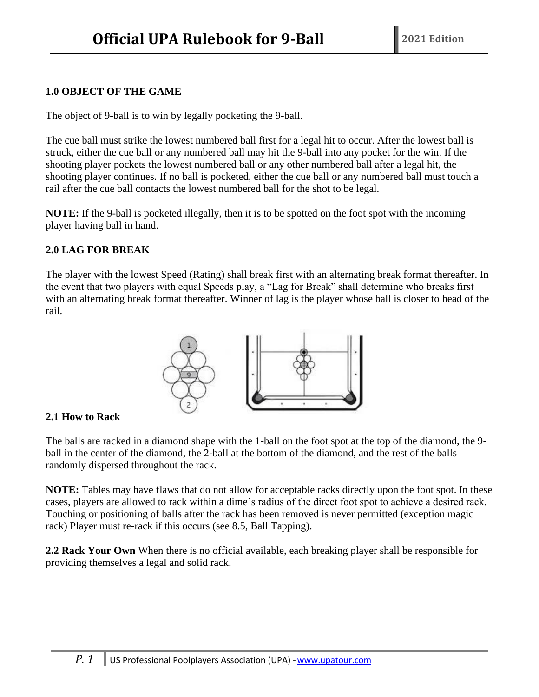# <span id="page-4-0"></span>**1.0 OBJECT OF THE GAME**

The object of 9-ball is to win by legally pocketing the 9-ball.

The cue ball must strike the lowest numbered ball first for a legal hit to occur. After the lowest ball is struck, either the cue ball or any numbered ball may hit the 9-ball into any pocket for the win. If the shooting player pockets the lowest numbered ball or any other numbered ball after a legal hit, the shooting player continues. If no ball is pocketed, either the cue ball or any numbered ball must touch a rail after the cue ball contacts the lowest numbered ball for the shot to be legal.

**NOTE:** If the 9-ball is pocketed illegally, then it is to be spotted on the foot spot with the incoming player having ball in hand.

#### **2.0 LAG FOR BREAK**

The player with the lowest Speed (Rating) shall break first with an alternating break format thereafter. In the event that two players with equal Speeds play, a "Lag for Break" shall determine who breaks first with an alternating break format thereafter. Winner of lag is the player whose ball is closer to head of the rail.



#### **2.1 How to Rack**

The balls are racked in a diamond shape with the 1-ball on the foot spot at the top of the diamond, the 9 ball in the center of the diamond, the 2-ball at the bottom of the diamond, and the rest of the balls randomly dispersed throughout the rack.

**NOTE:** Tables may have flaws that do not allow for acceptable racks directly upon the foot spot. In these cases, players are allowed to rack within a dime's radius of the direct foot spot to achieve a desired rack. Touching or positioning of balls after the rack has been removed is never permitted (exception magic rack) Player must re-rack if this occurs (see 8.5, Ball Tapping).

**2.2 Rack Your Own** When there is no official available, each breaking player shall be responsible for providing themselves a legal and solid rack.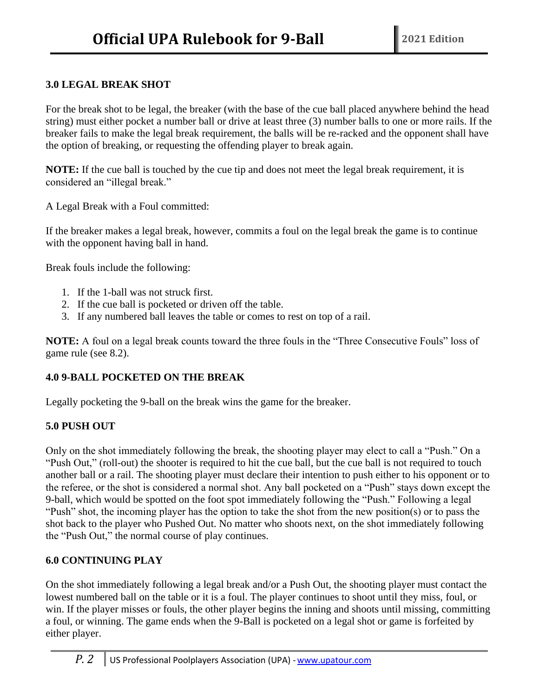#### **3.0 LEGAL BREAK SHOT**

For the break shot to be legal, the breaker (with the base of the cue ball placed anywhere behind the head string) must either pocket a number ball or drive at least three (3) number balls to one or more rails. If the breaker fails to make the legal break requirement, the balls will be re-racked and the opponent shall have the option of breaking, or requesting the offending player to break again.

**NOTE:** If the cue ball is touched by the cue tip and does not meet the legal break requirement, it is considered an "illegal break."

A Legal Break with a Foul committed:

If the breaker makes a legal break, however, commits a foul on the legal break the game is to continue with the opponent having ball in hand.

Break fouls include the following:

- 1. If the 1-ball was not struck first.
- 2. If the cue ball is pocketed or driven off the table.
- 3. If any numbered ball leaves the table or comes to rest on top of a rail.

**NOTE:** A foul on a legal break counts toward the three fouls in the "Three Consecutive Fouls" loss of game rule (see 8.2).

#### **4.0 9-BALL POCKETED ON THE BREAK**

Legally pocketing the 9-ball on the break wins the game for the breaker.

#### **5.0 PUSH OUT**

Only on the shot immediately following the break, the shooting player may elect to call a "Push." On a "Push Out," (roll-out) the shooter is required to hit the cue ball, but the cue ball is not required to touch another ball or a rail. The shooting player must declare their intention to push either to his opponent or to the referee, or the shot is considered a normal shot. Any ball pocketed on a "Push" stays down except the 9-ball, which would be spotted on the foot spot immediately following the "Push." Following a legal "Push" shot, the incoming player has the option to take the shot from the new position(s) or to pass the shot back to the player who Pushed Out. No matter who shoots next, on the shot immediately following the "Push Out," the normal course of play continues.

#### **6.0 CONTINUING PLAY**

On the shot immediately following a legal break and/or a Push Out, the shooting player must contact the lowest numbered ball on the table or it is a foul. The player continues to shoot until they miss, foul, or win. If the player misses or fouls, the other player begins the inning and shoots until missing, committing a foul, or winning. The game ends when the 9-Ball is pocketed on a legal shot or game is forfeited by either player.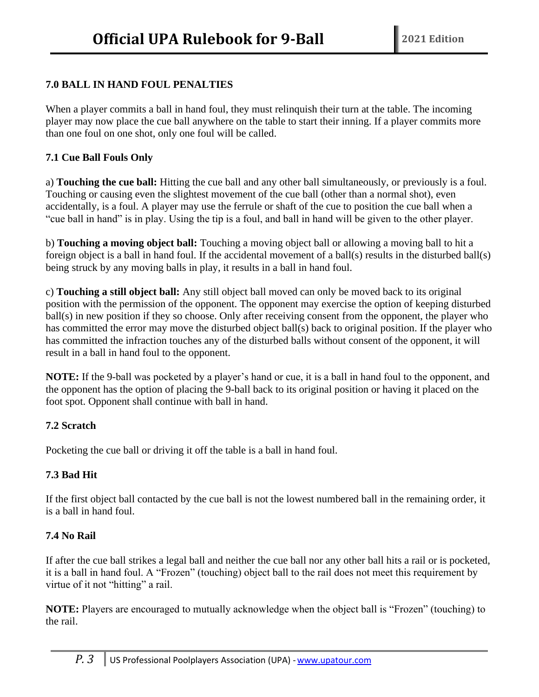# **7.0 BALL IN HAND FOUL PENALTIES**

When a player commits a ball in hand foul, they must relinquish their turn at the table. The incoming player may now place the cue ball anywhere on the table to start their inning. If a player commits more than one foul on one shot, only one foul will be called.

# **7.1 Cue Ball Fouls Only**

a) **Touching the cue ball:** Hitting the cue ball and any other ball simultaneously, or previously is a foul. Touching or causing even the slightest movement of the cue ball (other than a normal shot), even accidentally, is a foul. A player may use the ferrule or shaft of the cue to position the cue ball when a "cue ball in hand" is in play. Using the tip is a foul, and ball in hand will be given to the other player.

b) **Touching a moving object ball:** Touching a moving object ball or allowing a moving ball to hit a foreign object is a ball in hand foul. If the accidental movement of a ball(s) results in the disturbed ball(s) being struck by any moving balls in play, it results in a ball in hand foul.

c) **Touching a still object ball:** Any still object ball moved can only be moved back to its original position with the permission of the opponent. The opponent may exercise the option of keeping disturbed ball(s) in new position if they so choose. Only after receiving consent from the opponent, the player who has committed the error may move the disturbed object ball(s) back to original position. If the player who has committed the infraction touches any of the disturbed balls without consent of the opponent, it will result in a ball in hand foul to the opponent.

**NOTE:** If the 9-ball was pocketed by a player's hand or cue, it is a ball in hand foul to the opponent, and the opponent has the option of placing the 9-ball back to its original position or having it placed on the foot spot. Opponent shall continue with ball in hand.

# **7.2 Scratch**

Pocketing the cue ball or driving it off the table is a ball in hand foul.

# **7.3 Bad Hit**

If the first object ball contacted by the cue ball is not the lowest numbered ball in the remaining order, it is a ball in hand foul.

# **7.4 No Rail**

If after the cue ball strikes a legal ball and neither the cue ball nor any other ball hits a rail or is pocketed, it is a ball in hand foul. A "Frozen" (touching) object ball to the rail does not meet this requirement by virtue of it not "hitting" a rail.

**NOTE:** Players are encouraged to mutually acknowledge when the object ball is "Frozen" (touching) to the rail.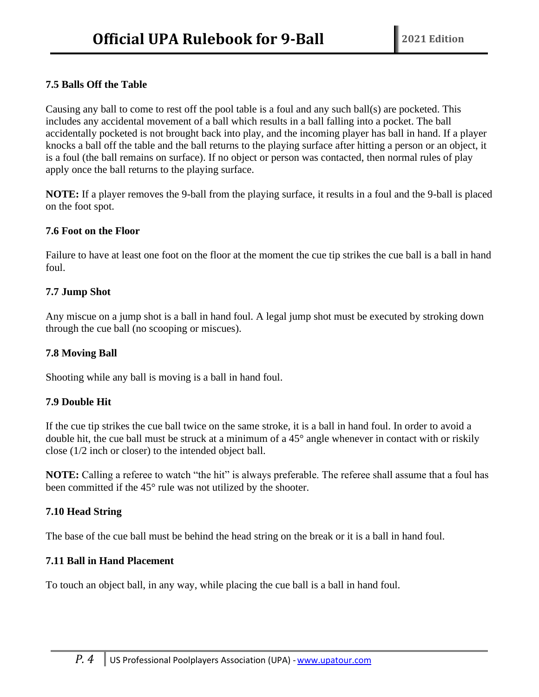# **7.5 Balls Off the Table**

Causing any ball to come to rest off the pool table is a foul and any such ball(s) are pocketed. This includes any accidental movement of a ball which results in a ball falling into a pocket. The ball accidentally pocketed is not brought back into play, and the incoming player has ball in hand. If a player knocks a ball off the table and the ball returns to the playing surface after hitting a person or an object, it is a foul (the ball remains on surface). If no object or person was contacted, then normal rules of play apply once the ball returns to the playing surface.

**NOTE:** If a player removes the 9-ball from the playing surface, it results in a foul and the 9-ball is placed on the foot spot.

#### **7.6 Foot on the Floor**

Failure to have at least one foot on the floor at the moment the cue tip strikes the cue ball is a ball in hand foul.

#### **7.7 Jump Shot**

Any miscue on a jump shot is a ball in hand foul. A legal jump shot must be executed by stroking down through the cue ball (no scooping or miscues).

#### **7.8 Moving Ball**

Shooting while any ball is moving is a ball in hand foul.

#### **7.9 Double Hit**

If the cue tip strikes the cue ball twice on the same stroke, it is a ball in hand foul. In order to avoid a double hit, the cue ball must be struck at a minimum of a 45° angle whenever in contact with or riskily close (1/2 inch or closer) to the intended object ball.

**NOTE:** Calling a referee to watch "the hit" is always preferable. The referee shall assume that a foul has been committed if the 45° rule was not utilized by the shooter.

#### **7.10 Head String**

The base of the cue ball must be behind the head string on the break or it is a ball in hand foul.

#### **7.11 Ball in Hand Placement**

To touch an object ball, in any way, while placing the cue ball is a ball in hand foul.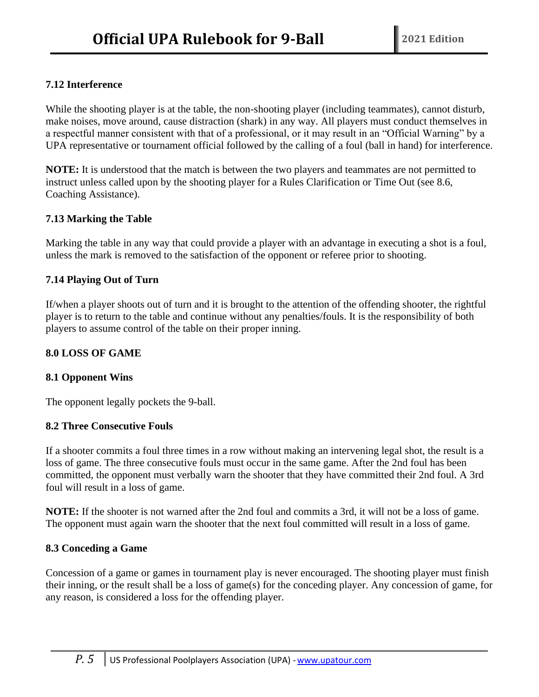# **7.12 Interference**

While the shooting player is at the table, the non-shooting player (including teammates), cannot disturb, make noises, move around, cause distraction (shark) in any way. All players must conduct themselves in a respectful manner consistent with that of a professional, or it may result in an "Official Warning" by a UPA representative or tournament official followed by the calling of a foul (ball in hand) for interference.

**NOTE:** It is understood that the match is between the two players and teammates are not permitted to instruct unless called upon by the shooting player for a Rules Clarification or Time Out (see 8.6, Coaching Assistance).

#### **7.13 Marking the Table**

Marking the table in any way that could provide a player with an advantage in executing a shot is a foul, unless the mark is removed to the satisfaction of the opponent or referee prior to shooting.

#### **7.14 Playing Out of Turn**

If/when a player shoots out of turn and it is brought to the attention of the offending shooter, the rightful player is to return to the table and continue without any penalties/fouls. It is the responsibility of both players to assume control of the table on their proper inning.

#### **8.0 LOSS OF GAME**

#### **8.1 Opponent Wins**

The opponent legally pockets the 9-ball.

#### **8.2 Three Consecutive Fouls**

If a shooter commits a foul three times in a row without making an intervening legal shot, the result is a loss of game. The three consecutive fouls must occur in the same game. After the 2nd foul has been committed, the opponent must verbally warn the shooter that they have committed their 2nd foul. A 3rd foul will result in a loss of game.

**NOTE:** If the shooter is not warned after the 2nd foul and commits a 3rd, it will not be a loss of game. The opponent must again warn the shooter that the next foul committed will result in a loss of game.

#### **8.3 Conceding a Game**

Concession of a game or games in tournament play is never encouraged. The shooting player must finish their inning, or the result shall be a loss of game(s) for the conceding player. Any concession of game, for any reason, is considered a loss for the offending player.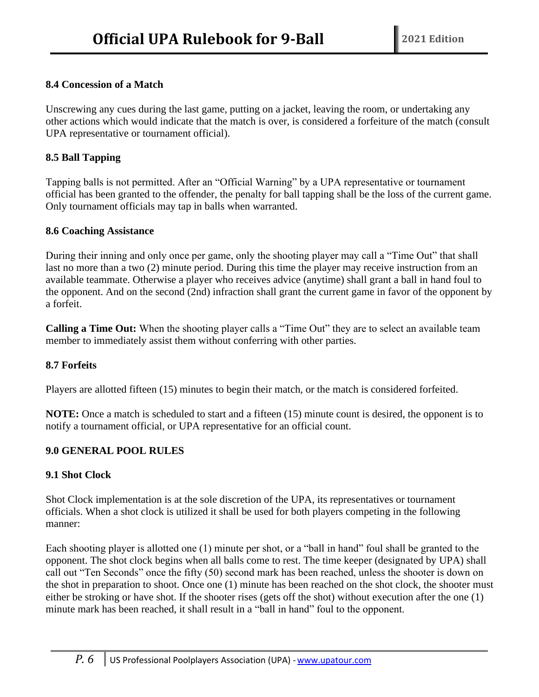# **8.4 Concession of a Match**

Unscrewing any cues during the last game, putting on a jacket, leaving the room, or undertaking any other actions which would indicate that the match is over, is considered a forfeiture of the match (consult UPA representative or tournament official).

#### **8.5 Ball Tapping**

Tapping balls is not permitted. After an "Official Warning" by a UPA representative or tournament official has been granted to the offender, the penalty for ball tapping shall be the loss of the current game. Only tournament officials may tap in balls when warranted.

#### **8.6 Coaching Assistance**

During their inning and only once per game, only the shooting player may call a "Time Out" that shall last no more than a two (2) minute period. During this time the player may receive instruction from an available teammate. Otherwise a player who receives advice (anytime) shall grant a ball in hand foul to the opponent. And on the second (2nd) infraction shall grant the current game in favor of the opponent by a forfeit.

**Calling a Time Out:** When the shooting player calls a "Time Out" they are to select an available team member to immediately assist them without conferring with other parties.

#### **8.7 Forfeits**

Players are allotted fifteen (15) minutes to begin their match, or the match is considered forfeited.

**NOTE:** Once a match is scheduled to start and a fifteen (15) minute count is desired, the opponent is to notify a tournament official, or UPA representative for an official count.

#### **9.0 GENERAL POOL RULES**

#### **9.1 Shot Clock**

Shot Clock implementation is at the sole discretion of the UPA, its representatives or tournament officials. When a shot clock is utilized it shall be used for both players competing in the following manner:

Each shooting player is allotted one (1) minute per shot, or a "ball in hand" foul shall be granted to the opponent. The shot clock begins when all balls come to rest. The time keeper (designated by UPA) shall call out "Ten Seconds" once the fifty (50) second mark has been reached, unless the shooter is down on the shot in preparation to shoot. Once one (1) minute has been reached on the shot clock, the shooter must either be stroking or have shot. If the shooter rises (gets off the shot) without execution after the one (1) minute mark has been reached, it shall result in a "ball in hand" foul to the opponent.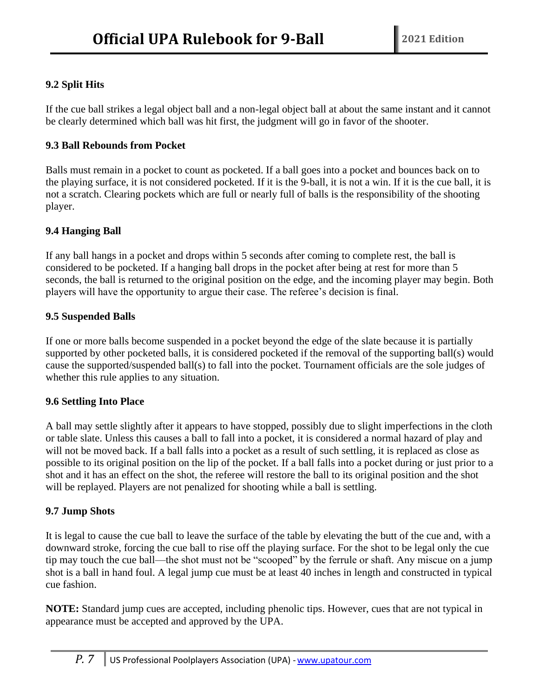# **9.2 Split Hits**

If the cue ball strikes a legal object ball and a non-legal object ball at about the same instant and it cannot be clearly determined which ball was hit first, the judgment will go in favor of the shooter.

# **9.3 Ball Rebounds from Pocket**

Balls must remain in a pocket to count as pocketed. If a ball goes into a pocket and bounces back on to the playing surface, it is not considered pocketed. If it is the 9-ball, it is not a win. If it is the cue ball, it is not a scratch. Clearing pockets which are full or nearly full of balls is the responsibility of the shooting player.

#### **9.4 Hanging Ball**

If any ball hangs in a pocket and drops within 5 seconds after coming to complete rest, the ball is considered to be pocketed. If a hanging ball drops in the pocket after being at rest for more than 5 seconds, the ball is returned to the original position on the edge, and the incoming player may begin. Both players will have the opportunity to argue their case. The referee's decision is final.

#### **9.5 Suspended Balls**

If one or more balls become suspended in a pocket beyond the edge of the slate because it is partially supported by other pocketed balls, it is considered pocketed if the removal of the supporting ball(s) would cause the supported/suspended ball(s) to fall into the pocket. Tournament officials are the sole judges of whether this rule applies to any situation.

#### **9.6 Settling Into Place**

A ball may settle slightly after it appears to have stopped, possibly due to slight imperfections in the cloth or table slate. Unless this causes a ball to fall into a pocket, it is considered a normal hazard of play and will not be moved back. If a ball falls into a pocket as a result of such settling, it is replaced as close as possible to its original position on the lip of the pocket. If a ball falls into a pocket during or just prior to a shot and it has an effect on the shot, the referee will restore the ball to its original position and the shot will be replayed. Players are not penalized for shooting while a ball is settling.

#### **9.7 Jump Shots**

It is legal to cause the cue ball to leave the surface of the table by elevating the butt of the cue and, with a downward stroke, forcing the cue ball to rise off the playing surface. For the shot to be legal only the cue tip may touch the cue ball—the shot must not be "scooped" by the ferrule or shaft. Any miscue on a jump shot is a ball in hand foul. A legal jump cue must be at least 40 inches in length and constructed in typical cue fashion.

**NOTE:** Standard jump cues are accepted, including phenolic tips. However, cues that are not typical in appearance must be accepted and approved by the UPA.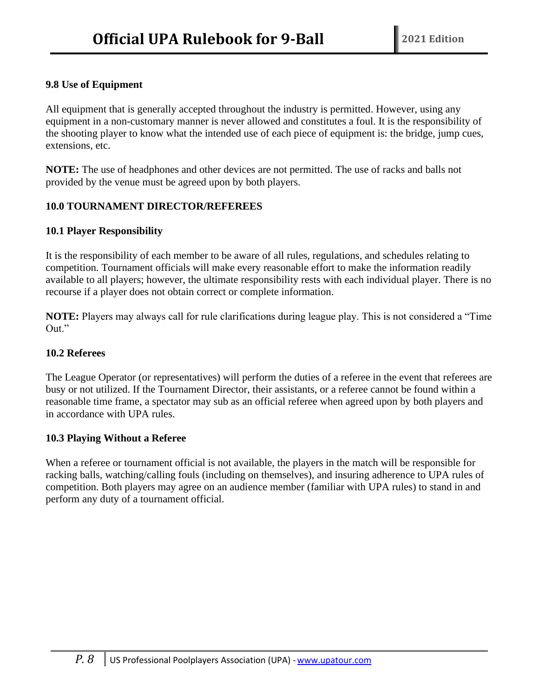# **9.8 Use of Equipment**

All equipment that is generally accepted throughout the industry is permitted. However, using any equipment in a non-customary manner is never allowed and constitutes a foul. It is the responsibility of the shooting player to know what the intended use of each piece of equipment is: the bridge, jump cues, extensions, etc.

**NOTE:** The use of headphones and other devices are not permitted. The use of racks and balls not provided by the venue must be agreed upon by both players.

#### **10.0 TOURNAMENT DIRECTOR/REFEREES**

#### **10.1 Player Responsibility**

It is the responsibility of each member to be aware of all rules, regulations, and schedules relating to competition. Tournament officials will make every reasonable effort to make the information readily available to all players; however, the ultimate responsibility rests with each individual player. There is no recourse if a player does not obtain correct or complete information.

**NOTE:** Players may always call for rule clarifications during league play. This is not considered a "Time Out."

#### **10.2 Referees**

The League Operator (or representatives) will perform the duties of a referee in the event that referees are busy or not utilized. If the Tournament Director, their assistants, or a referee cannot be found within a reasonable time frame, a spectator may sub as an official referee when agreed upon by both players and in accordance with UPA rules.

#### **10.3 Playing Without a Referee**

When a referee or tournament official is not available, the players in the match will be responsible for racking balls, watching/calling fouls (including on themselves), and insuring adherence to UPA rules of competition. Both players may agree on an audience member (familiar with UPA rules) to stand in and perform any duty of a tournament official.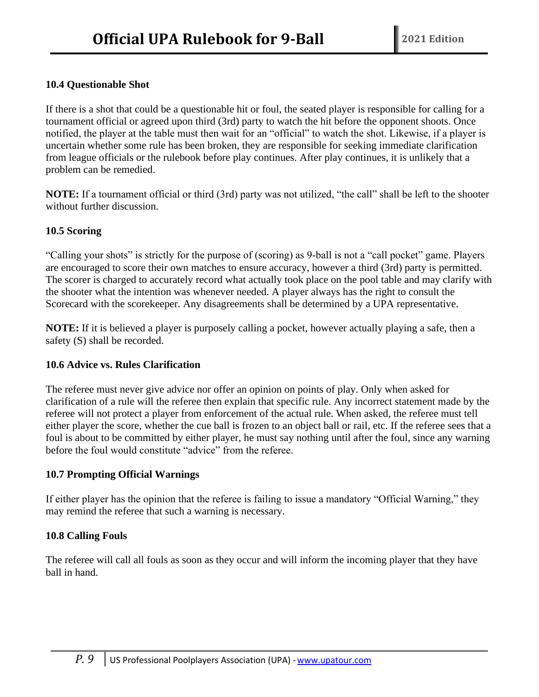# **10.4 Questionable Shot**

If there is a shot that could be a questionable hit or foul, the seated player is responsible for calling for a tournament official or agreed upon third (3rd) party to watch the hit before the opponent shoots. Once notified, the player at the table must then wait for an "official" to watch the shot. Likewise, if a player is uncertain whether some rule has been broken, they are responsible for seeking immediate clarification from league officials or the rulebook before play continues. After play continues, it is unlikely that a problem can be remedied.

**NOTE:** If a tournament official or third (3rd) party was not utilized, "the call" shall be left to the shooter without further discussion.

#### **10.5 Scoring**

"Calling your shots" is strictly for the purpose of (scoring) as 9-ball is not a "call pocket" game. Players are encouraged to score their own matches to ensure accuracy, however a third (3rd) party is permitted. The scorer is charged to accurately record what actually took place on the pool table and may clarify with the shooter what the intention was whenever needed. A player always has the right to consult the Scorecard with the scorekeeper. Any disagreements shall be determined by a UPA representative.

**NOTE:** If it is believed a player is purposely calling a pocket, however actually playing a safe, then a safety (S) shall be recorded.

#### **10.6 Advice vs. Rules Clarification**

The referee must never give advice nor offer an opinion on points of play. Only when asked for clarification of a rule will the referee then explain that specific rule. Any incorrect statement made by the referee will not protect a player from enforcement of the actual rule. When asked, the referee must tell either player the score, whether the cue ball is frozen to an object ball or rail, etc. If the referee sees that a foul is about to be committed by either player, he must say nothing until after the foul, since any warning before the foul would constitute "advice" from the referee.

#### **10.7 Prompting Official Warnings**

If either player has the opinion that the referee is failing to issue a mandatory "Official Warning," they may remind the referee that such a warning is necessary.

#### **10.8 Calling Fouls**

The referee will call all fouls as soon as they occur and will inform the incoming player that they have ball in hand.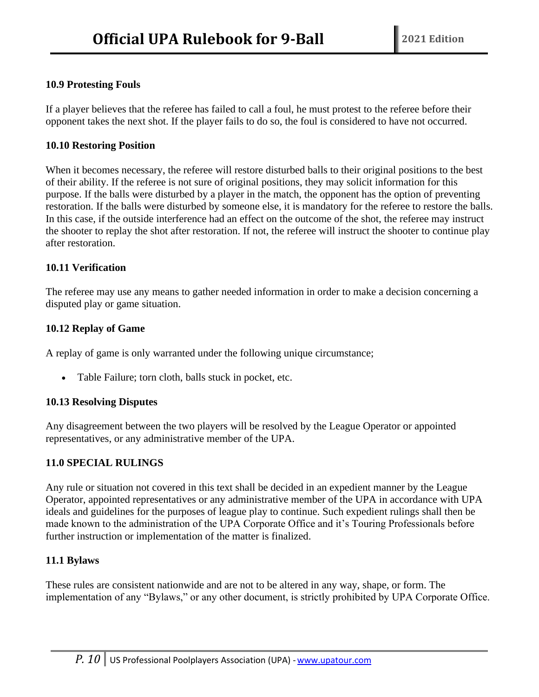#### **10.9 Protesting Fouls**

If a player believes that the referee has failed to call a foul, he must protest to the referee before their opponent takes the next shot. If the player fails to do so, the foul is considered to have not occurred.

#### **10.10 Restoring Position**

When it becomes necessary, the referee will restore disturbed balls to their original positions to the best of their ability. If the referee is not sure of original positions, they may solicit information for this purpose. If the balls were disturbed by a player in the match, the opponent has the option of preventing restoration. If the balls were disturbed by someone else, it is mandatory for the referee to restore the balls. In this case, if the outside interference had an effect on the outcome of the shot, the referee may instruct the shooter to replay the shot after restoration. If not, the referee will instruct the shooter to continue play after restoration.

#### **10.11 Verification**

The referee may use any means to gather needed information in order to make a decision concerning a disputed play or game situation.

#### **10.12 Replay of Game**

A replay of game is only warranted under the following unique circumstance;

• Table Failure; torn cloth, balls stuck in pocket, etc.

#### **10.13 Resolving Disputes**

Any disagreement between the two players will be resolved by the League Operator or appointed representatives, or any administrative member of the UPA.

#### **11.0 SPECIAL RULINGS**

Any rule or situation not covered in this text shall be decided in an expedient manner by the League Operator, appointed representatives or any administrative member of the UPA in accordance with UPA ideals and guidelines for the purposes of league play to continue. Such expedient rulings shall then be made known to the administration of the UPA Corporate Office and it's Touring Professionals before further instruction or implementation of the matter is finalized.

#### **11.1 Bylaws**

These rules are consistent nationwide and are not to be altered in any way, shape, or form. The implementation of any "Bylaws," or any other document, is strictly prohibited by UPA Corporate Office.